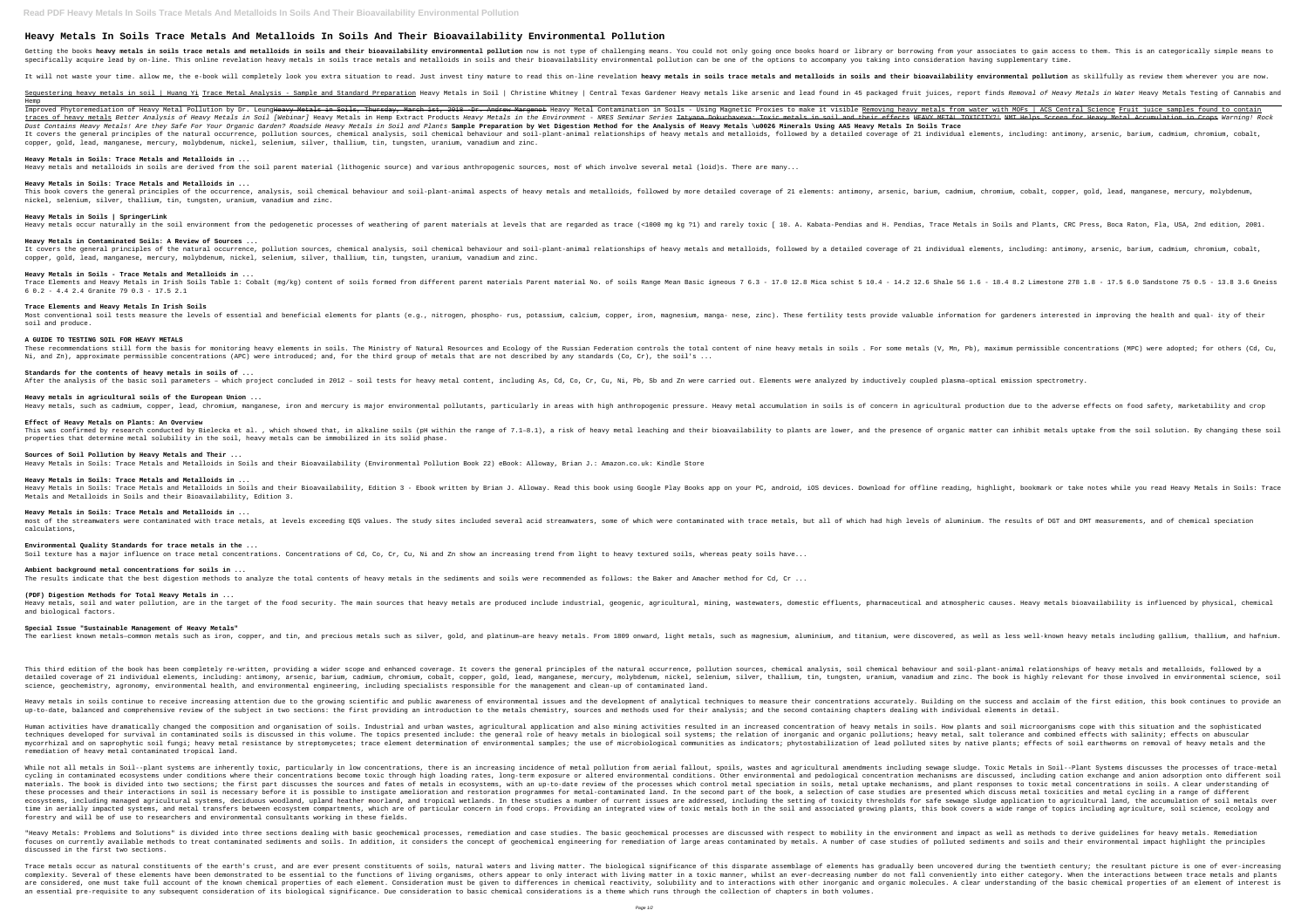# **Heavy Metals In Soils Trace Metals And Metalloids In Soils And Their Bioavailability Environmental Pollution**

Getting the books **heavy metals in soils trace metals and metalloids in soils and their bioavailability environmental pollution now is not type of challenging means. You could not only going once books hoard or library or** specifically acquire lead by on-line. This online revelation heavy metals in soils trace metals and metalloids in soils and their bioavailability environmental pollution can be one of the options to accompany you taking in

It will not waste your time. allow me, the e-book will completely look you extra situation to read. Just invest tiny mature to read. Just invest tiny mature in soils and metalloids in soils and their bioavailability enviro

Sequestering heavy metals in soil | Huang Yi Trace Metal Analysis - Sample and Standard Preparation Heavy Metals in Soil | Christine Whitney | Central Texas Gardener Heavy metals Iike arsenic and lead found in 45 packaged Hemp Improved Phytoremediation of Heavy Metal Pollution by Dr. Leung<del>Heavy Metals in Soils, Thursday, March 1st, 2018 Dr. Andrew Margenot</del> Heavy Metal Contamination in Soils - Using Magnetic Proxies to make it visible Removing traces of heavy metals Better Analysis of Heavy Metals in Soil [Webinar] Heavy Metals in Hemp Extract Products Heavy Metals in the Environment - NRES Seminar Series <del>Tatyana Dokuchaveva: Toxic metals in soil and their effe</del> Dust Contains Heavy Metals! Are they Safe For Your Organic Garden? Roadside Heavy Metals in Soil and Plants Sample Preparation by Wet Digestion Method for the Analysis of Heavy Metals \u0026 Minerals Using AAS Heavy Metals It covers the general principles of the natural occurrence, pollution sources, chemical analysis, soil chemical analysis, soil chemical behaviour and soil-plant-animal relationships of heavy metals and metalloids, followed copper, gold, lead, manganese, mercury, molybdenum, nickel, selenium, silver, thallium, tin, tungsten, uranium, vanadium and zinc.

**Heavy Metals in Soils: Trace Metals and Metalloids in ...** Heavy metals and metalloids in soils are derived from the soil parent material (lithogenic source) and various anthropogenic sources, most of which involve several metal (loid)s. There are many...

This book covers the general principles of the occurrence, analysis, soil chemical behaviour and soil-plant-animal aspects of heavy metals and metalloids, followed by more detailed coverage of 21 elements: antimony, arseni nickel, selenium, silver, thallium, tin, tungsten, uranium, vanadium and zinc.

It covers the general principles of the natural occurrence, pollution sources, chemical analysis, soil chemical analysis, soil chemical behaviour and soil-plant-animal relationships of heavy metals and metalloids, followed copper, gold, lead, manganese, mercury, molybdenum, nickel, selenium, silver, thallium, tin, tungsten, uranium, vanadium and zinc.

Most conventional soil tests measure the levels of essential and beneficial elements for plants (e.g., nitrogen, phospho- rus, potassium, calcium, copper, iron, magnesium, manga- nese, zinc). These fertility tests provide soil and produce.

**Standards for the contents of heavy metals in soils of ...** After the analysis of the basic soil parameters - which project concluded in 2012 - soil tests for heavy metal content, including As, Cd, Co, Cr, Cu, Ni, Pb, Sb and Zn were carried out. Elements were analyzed by inductivel

#### **Heavy Metals in Soils: Trace Metals and Metalloids in ...**

#### **Heavy Metals in Soils | SpringerLink**

Heavy metals occur naturally in the soil environment from the pedogenetic processes of weathering of parent materials at levels that are regarded as trace (<1000 mg kg ?1) and rarely toxic [ 10. A. Kabata-Pendias, and H. P

#### **Heavy Metals in Contaminated Soils: A Review of Sources ...**

most of the streamwaters were contaminated with trace metals, at levels exceeding EQS values. The study sites included several acid streamwaters, some of which were contaminated with trace metals, but all of which had high calculations,

#### **Heavy Metals in Soils - Trace Metals and Metalloids in ...**

6 0.2 - 4.4 2.4 Granite 79 0.3 - 17.5 2.1

#### **Trace Elements and Heavy Metals In Irish Soils**

This third edition of the book has been completely re–written, providing a wider scope and enhanced coverage. It covers the general principles of the natural occurrence, pollution sources, chemical behaviour and soil–plant detailed coverage of 21 individual elements, including: antimony, arsenic, barium, cadmium, cadmium, cadmium, cobalt, copper, gold, lead, manganese, mercury, molybdenum, nickel, selenium, vanadium and zinc. The book is hig science, geochemistry, agronomy, environmental health, and environmental engineering, including specialists responsible for the management and clean-up of contaminated land.

### Heavy metals in soils continue to receive increasing attention due to the growing scientific and public awareness of environmental issues and the development of analytical techniques to measure their concentrations accurat up-to-date, balanced and comprehensive review of the subject in two sections: the first providing an introduction to the metals chemistry, sources and methods used for their analysis; and the second containing chapters dea

#### **A GUIDE TO TESTING SOIL FOR HEAVY METALS**

Ni, and Zn), approximate permissible concentrations (APC) were introduced; and, for the third group of metals that are not described by any standards (Co, Cr), the soil's ...

Human activities have dramatically changed the composition and organisation of soils. Industrial and urban wastes, agricultural application and also mining activities resulted in an increased concentration of heavy metals techniques developed for survival in contaminated soils is discussed in this volume. The topics presented include: the general role of heavy metals in biological soil systems; the relation of inorganic pollutions; heavy me mycorrhizal and on saprophytic soil fungi; heavy metal resistance by streptomycetes; trace element determination of environmental samples; the use of microbiological communities as indicators; phytostabilization of environ remediation of heavy metal contaminated tropical land.

#### **Heavy metals in agricultural soils of the European Union ...**

Heavy metals, such as cadmium, copper, lead, chromium, manganese, iron and mercury is major environmental pollutants, particularly in areas with high anthropogenic pressure. Heavy metal accumulation in soils is of concern

**Effect of Heavy Metals on Plants: An Overview** This was confirmed by research conducted by Bielecka et al. , which showed that, in alkaline soils (pH within the range of 7.1-8.1), a risk of heavy metal leaching and their bioavailability to plants are lower, and the pre properties that determine metal solubility in the soil, heavy metals can be immobilized in its solid phase.

While not all metals in Soil--plant systems are inherently toxic, particularly in low concentrations, there is an increasing incidence of metal pollution from aerial fallout, spoils, wastes and agricultural amendments incl cycling in contaminated ecosystems under conditions where their concentrations become toxic through high loading rates, long-term exposure or altered environmental and pedological concentration mechanisms are discussed, in materials. The book is divided into two sections; the first part discusses the sources and fates of metals in ecosystems, with an up-to-date review of the processes which control metal speciation in soils, metal metal spec these processes and their interactions in soil is necessary before it is possible to instigate amelioration and restoration of case studies are presented which discuss metal toxicities and metal cycling in a range of diffe ecosystems, including managed agricultural systems, deciduous woodland, upland heather moorland, and tropical wetlands. In these studies a number of current issues are addressed, including the setting of toxicity threshold time in aerially impacted systems, and metal transfers between ecosystem compartments, which are of particular concern in food crops. Providing an integrated view of toxic metals both in the soil and associated growing pla forestry and will be of use to researchers and environmental consultants working in these fields.

#### **Sources of Soil Pollution by Heavy Metals and Their ...**

Heavy Metals in Soils: Trace Metals and Metalloids in Soils and their Bioavailability (Environmental Pollution Book 22) eBook: Alloway, Brian J.: Amazon.co.uk: Kindle Store

"Heavy Metals: Problems and Solutions" is divided into three sections dealing with basic geochemical processes, remediation and case studies. The basic geochemical processes are discussed with respect to mobility in the en focuses on currently available methods to treat contaminated sediments and soils. In addition, it considers the concept of geochemical engineering for remediation of large areas contaminated by metals. A number of case stu discussed in the first two sections.

**Heavy Metals in Soils: Trace Metals and Metalloids in ...** Heavy Metals in Soils: Trace Metals and Metalloids in Soils and their Bioavailability, Edition 3 - Ebook written by Brian J. Alloway. Read this book using Google Play Books app on your PC, android, iOS devices. Download fo Metals and Metalloids in Soils and their Bioavailability, Edition 3.

#### **Heavy Metals in Soils: Trace Metals and Metalloids in ...**

Trace metals occur as natural constituents of the earth's crust, and are ever present constituents of soils, natural waters and living matter. The biological significance of this disparate assemblage of elements has gradua complexity. Several of these elements have been demonstrated to be essential to the functions of living organisms, others appear to only interact with living matter in a toxic manner, whilst an ever-decreasing number do no are considered, one must take full account of the known chemical properties of each element. Consideration must be given to differences in chemical reactivity, solubility and to interactions with other inorganic molecules. an essential pre-requisite to any subsequent consideration of its biological significance. Due consideration to basic chemical considerations is a theme which runs through the collection of chapters in both volumes.

Trace Elements and Heavy Metals in Irish Soils Table 1: Cobalt (mq/kq) content of soils formed from different parent materials Parent material No. of soils Range Mean Basic igneous 7 6.3 - 17.0 12.8 Mica schist 5 10.4 - 14

# These recommendations still form the basis for monitoring heavy elements in soils. The Ministry of Natural Resources and Ecology of the Russian Federation controls the total content of nine heavy metals (V, Mn, Pb), maximu

The results indicate that the best digestion methods to analyze the total contents of heavy metals in the sediments and soils were recommended as follows: the Baker and Amacher method for Cd, Cr ...

#### Heavy metals, soil and water pollution, are in the target of the food security. The main sources that heavy metals are produced include industrial, geogenic, agricultural, mining, wastewaters, domestic effluents, pharmaceu

#### **Environmental Quality Standards for trace metals in the ...**

Soil texture has a major influence on trace metal concentrations. Concentrations of Cd, Co, Cr, Cu, Ni and Zn show an increasing trend from light to heavy textured soils, whereas peaty soils have...

**Ambient background metal concentrations for soils in ...**

## **(PDF) Digestion Methods for Total Heavy Metals in ...**

and biological factors.

#### **Special Issue "Sustainable Management of Heavy Metals"**

The earliest known metals—common metals such as iron, copper, and tin, and tin, and precious metals such as silver, gold, and platinum—are heavy metals. From 1809 onward, light metals such as well as less well-known heavy